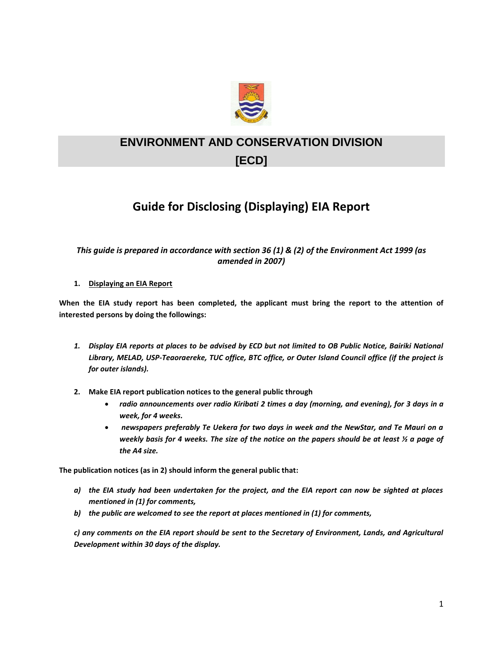

## **ENVIRONMENT AND CONSERVATION DIVISION [ECD]**

## **Guide for Disclosing (Displaying) EIA Report**

## *This guide is prepared in accordance with section 36 (1) & (2) of the Environment Act 1999 (as amended in 2007)*

## **1. Displaying an EIA Report**

**When the EIA study report has been completed, the applicant must bring the report to the attention of interested persons by doing the followings:**

- 1. Display EIA reports at places to be advised by ECD but not limited to OB Public Notice, Bairiki National *Library, MELAD, USP-Teaoraereke, TUC office, BTC office, or Outer Island Council office (if the project is for outer islands).*
- **2. Make EIA report publication notices to the general public through**
	- *radio announcements over radio Kiribati 2 times a day (morning, and evening), for 3 days in a week, for 4 weeks.*
	- *newspapers preferably Te Uekera for two days in week and the NewStar, and Te Mauri on a weekly basis for 4 weeks. The size of the notice on the papers should be at least ½ a page of the A4 size.*

**The publication notices (as in 2) should inform the general public that:**

- *a) the EIA study had been undertaken for the project, and the EIA report can now be sighted at places mentioned in (1) for comments,*
- *b) the public are welcomed to see the report at places mentioned in (1) for comments,*

*c) any comments on the EIA report should be sent to the Secretary of Environment, Lands, and Agricultural Development within 30 days of the display.*